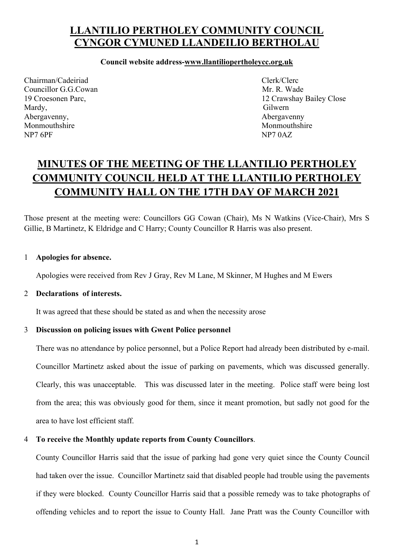## **LLANTILIO PERTHOLEY COMMUNITY COUNCIL CYNGOR CYMUNED LLANDEILIO BERTHOLAU**

## **Council website address-www.llantiliopertholeycc.org.uk**

Chairman/Cadeiriad Clerk/Clerc Councillor G.G.Cowan Mr. R. Wade Mardy, Gilwern Abergavenny, and the same of the same of the same of the same of the same of the same of the same of the same of the same of the same of the same of the same of the same of the same of the same of the same of the same of t Monmouthshire Monmouthshire Monmouthshire NP7 6PF NP7 0AZ

19 Croesonen Parc, 12 Crawshay Bailey Close

# **MINUTES OF THE MEETING OF THE LLANTILIO PERTHOLEY COMMUNITY COUNCIL HELD AT THE LLANTILIO PERTHOLEY COMMUNITY HALL ON THE 17TH DAY OF MARCH 2021**

Those present at the meeting were: Councillors GG Cowan (Chair), Ms N Watkins (Vice-Chair), Mrs S Gillie, B Martinetz, K Eldridge and C Harry; County Councillor R Harris was also present.

## 1 **Apologies for absence.**

Apologies were received from Rev J Gray, Rev M Lane, M Skinner, M Hughes and M Ewers

## 2 **Declarations of interests.**

It was agreed that these should be stated as and when the necessity arose

### 3 **Discussion on policing issues with Gwent Police personnel**

There was no attendance by police personnel, but a Police Report had already been distributed by e-mail. Councillor Martinetz asked about the issue of parking on pavements, which was discussed generally. Clearly, this was unacceptable. This was discussed later in the meeting. Police staff were being lost from the area; this was obviously good for them, since it meant promotion, but sadly not good for the area to have lost efficient staff.

## 4 **To receive the Monthly update reports from County Councillors**.

County Councillor Harris said that the issue of parking had gone very quiet since the County Council had taken over the issue. Councillor Martinetz said that disabled people had trouble using the pavements if they were blocked. County Councillor Harris said that a possible remedy was to take photographs of offending vehicles and to report the issue to County Hall. Jane Pratt was the County Councillor with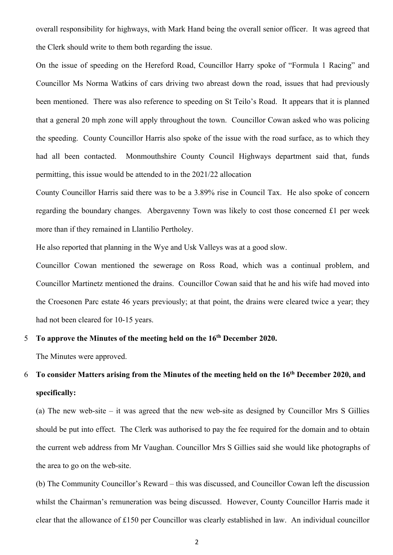overall responsibility for highways, with Mark Hand being the overall senior officer. It was agreed that the Clerk should write to them both regarding the issue.

On the issue of speeding on the Hereford Road, Councillor Harry spoke of "Formula 1 Racing" and Councillor Ms Norma Watkins of cars driving two abreast down the road, issues that had previously been mentioned. There was also reference to speeding on St Teilo's Road. It appears that it is planned that a general 20 mph zone will apply throughout the town. Councillor Cowan asked who was policing the speeding. County Councillor Harris also spoke of the issue with the road surface, as to which they had all been contacted. Monmouthshire County Council Highways department said that, funds permitting, this issue would be attended to in the 2021/22 allocation

County Councillor Harris said there was to be a 3.89% rise in Council Tax. He also spoke of concern regarding the boundary changes. Abergavenny Town was likely to cost those concerned £1 per week more than if they remained in Llantilio Pertholey.

He also reported that planning in the Wye and Usk Valleys was at a good slow.

Councillor Cowan mentioned the sewerage on Ross Road, which was a continual problem, and Councillor Martinetz mentioned the drains. Councillor Cowan said that he and his wife had moved into the Croesonen Parc estate 46 years previously; at that point, the drains were cleared twice a year; they had not been cleared for 10-15 years.

## 5 **To approve the Minutes of the meeting held on the 16th December 2020.**

The Minutes were approved.

## 6 **To consider Matters arising from the Minutes of the meeting held on the 16th December 2020, and specifically:**

(a) The new web-site – it was agreed that the new web-site as designed by Councillor Mrs S Gillies should be put into effect. The Clerk was authorised to pay the fee required for the domain and to obtain the current web address from Mr Vaughan. Councillor Mrs S Gillies said she would like photographs of the area to go on the web-site.

(b) The Community Councillor's Reward – this was discussed, and Councillor Cowan left the discussion whilst the Chairman's remuneration was being discussed. However, County Councillor Harris made it clear that the allowance of £150 per Councillor was clearly established in law. An individual councillor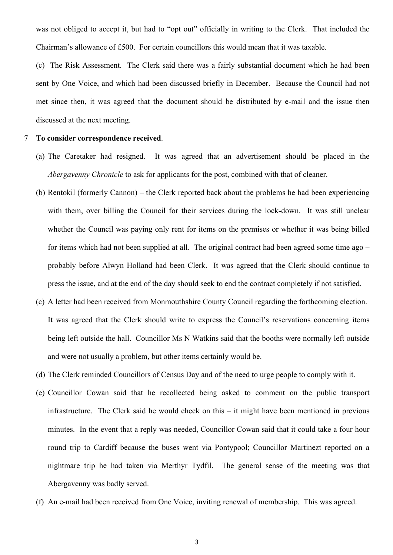was not obliged to accept it, but had to "opt out" officially in writing to the Clerk. That included the Chairman's allowance of £500. For certain councillors this would mean that it was taxable.

(c) The Risk Assessment. The Clerk said there was a fairly substantial document which he had been sent by One Voice, and which had been discussed briefly in December. Because the Council had not met since then, it was agreed that the document should be distributed by e-mail and the issue then discussed at the next meeting.

#### 7 **To consider correspondence received**.

- (a) The Caretaker had resigned. It was agreed that an advertisement should be placed in the *Abergavenny Chronicle* to ask for applicants for the post, combined with that of cleaner.
- (b) Rentokil (formerly Cannon) the Clerk reported back about the problems he had been experiencing with them, over billing the Council for their services during the lock-down. It was still unclear whether the Council was paying only rent for items on the premises or whether it was being billed for items which had not been supplied at all. The original contract had been agreed some time ago – probably before Alwyn Holland had been Clerk. It was agreed that the Clerk should continue to press the issue, and at the end of the day should seek to end the contract completely if not satisfied.
- (c) A letter had been received from Monmouthshire County Council regarding the forthcoming election. It was agreed that the Clerk should write to express the Council's reservations concerning items being left outside the hall. Councillor Ms N Watkins said that the booths were normally left outside and were not usually a problem, but other items certainly would be.
- (d) The Clerk reminded Councillors of Census Day and of the need to urge people to comply with it.
- (e) Councillor Cowan said that he recollected being asked to comment on the public transport infrastructure. The Clerk said he would check on this – it might have been mentioned in previous minutes. In the event that a reply was needed, Councillor Cowan said that it could take a four hour round trip to Cardiff because the buses went via Pontypool; Councillor Martinezt reported on a nightmare trip he had taken via Merthyr Tydfil. The general sense of the meeting was that Abergavenny was badly served.
- (f) An e-mail had been received from One Voice, inviting renewal of membership. This was agreed.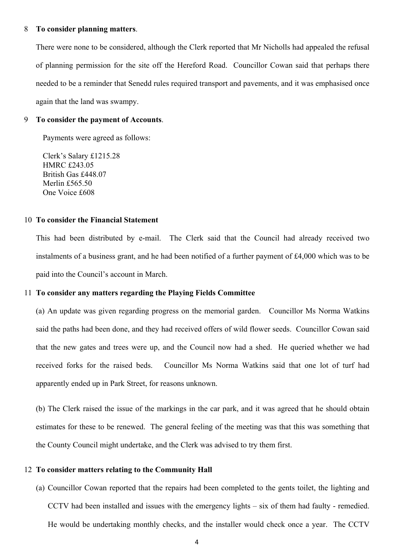#### 8 **To consider planning matters**.

There were none to be considered, although the Clerk reported that Mr Nicholls had appealed the refusal of planning permission for the site off the Hereford Road. Councillor Cowan said that perhaps there needed to be a reminder that Senedd rules required transport and pavements, and it was emphasised once again that the land was swampy.

#### 9 **To consider the payment of Accounts**.

Payments were agreed as follows:

Clerk's Salary £1215.28 HMRC £243.05 British Gas £448.07 Merlin £565.50 One Voice £608

#### 10 **To consider the Financial Statement**

This had been distributed by e-mail. The Clerk said that the Council had already received two instalments of a business grant, and he had been notified of a further payment of £4,000 which was to be paid into the Council's account in March.

#### 11 **To consider any matters regarding the Playing Fields Committee**

(a) An update was given regarding progress on the memorial garden. Councillor Ms Norma Watkins said the paths had been done, and they had received offers of wild flower seeds. Councillor Cowan said that the new gates and trees were up, and the Council now had a shed. He queried whether we had received forks for the raised beds. Councillor Ms Norma Watkins said that one lot of turf had apparently ended up in Park Street, for reasons unknown.

(b) The Clerk raised the issue of the markings in the car park, and it was agreed that he should obtain estimates for these to be renewed. The general feeling of the meeting was that this was something that the County Council might undertake, and the Clerk was advised to try them first.

#### 12 **To consider matters relating to the Community Hall**

(a) Councillor Cowan reported that the repairs had been completed to the gents toilet, the lighting and CCTV had been installed and issues with the emergency lights – six of them had faulty - remedied. He would be undertaking monthly checks, and the installer would check once a year. The CCTV